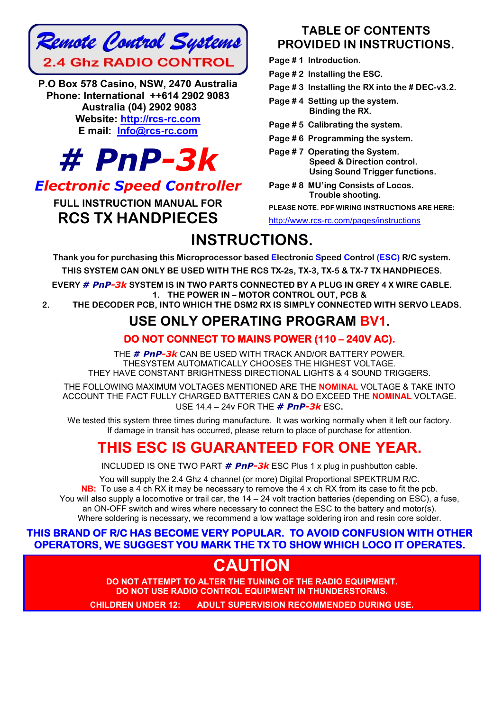

P.O Box 578 Casino, NSW, 2470 Australia Phone: International ++614 2902 9083 Australia (04) 2902 9083 Website: http://rcs-rc.com E mail: Info@rcs-rc.com



# *Electronic Speed Controller*

FULL INSTRUCTION MANUAL FOR RCS TX HANDPIECES

# TABLE OF CONTENTS PROVIDED IN INSTRUCTIONS.

Page #1 Introduction.

Page #2 Installing the ESC.

- Page # 3 Installing the RX into the # DEC-v3.2.
- Page #4 Setting up the system. Binding the RX.
- Page # 5 Calibrating the system.
- Page # 6 Programming the system.
- Page # 7 Operating the System. Speed & Direction control. Using Sound Trigger functions.
- Page # 8 MU'ing Consists of Locos. Trouble shooting.

PLEASE NOTE. PDF WIRING INSTRUCTIONS ARE HERE:

http://www.rcs-rc.com/pages/instructions

# INSTRUCTIONS.

Thank you for purchasing this Microprocessor based Electronic Speed Control (ESC) R/C system.

THIS SYSTEM CAN ONLY BE USED WITH THE RCS TX-2s, TX-3, TX-5 & TX-7 TX HANDPIECES.

EVERY *# PnP-3k* SYSTEM IS IN TWO PARTS CONNECTED BY A PLUG IN GREY 4 X WIRE CABLE. 1. THE POWER IN – MOTOR CONTROL OUT, PCB &

2. THE DECODER PCB, INTO WHICH THE DSM2 RX IS SIMPLY CONNECTED WITH SERVO LEADS.

# USE ONLY OPERATING PROGRAM BV1.

# DO NOT CONNECT TO MAINS POWER (110 – 240V AC).

THE *# PnP-3k* CAN BE USED WITH TRACK AND/OR BATTERY POWER. THESYSTEM AUTOMATICALLY CHOOSES THE HIGHEST VOLTAGE. THEY HAVE CONSTANT BRIGHTNESS DIRECTIONAL LIGHTS & 4 SOUND TRIGGERS.

THE FOLLOWING MAXIMUM VOLTAGES MENTIONED ARE THE NOMINAL VOLTAGE & TAKE INTO ACCOUNT THE FACT FULLY CHARGED BATTERIES CAN & DO EXCEED THE NOMINAL VOLTAGE. USE 14.4 – 24v FOR THE *# PnP-3k* ESC.

We tested this system three times during manufacture. It was working normally when it left our factory. If damage in transit has occurred, please return to place of purchase for attention.

# THIS ESC IS GUARANTEED FOR ONE YEAR.

INCLUDED IS ONE TWO PART *# PnP-3k* ESC Plus 1 x plug in pushbutton cable.

You will supply the 2.4 Ghz 4 channel (or more) Digital Proportional SPEKTRUM R/C. NB: To use a 4 ch RX it may be necessary to remove the 4 x ch RX from its case to fit the pcb. You will also supply a locomotive or trail car, the 14 – 24 volt traction batteries (depending on ESC), a fuse, an ON-OFF switch and wires where necessary to connect the ESC to the battery and motor(s). Where soldering is necessary, we recommend a low wattage soldering iron and resin core solder.

## THIS BRAND OF R/C HAS BECOME VERY POPULAR. TO AVOID CONFUSION WITH OTHER OPERATORS, WE SUGGEST YOU MARK THE TX TO SHOW WHICH LOCO IT OPERATES.

# **CAUTION**

DO NOT ATTEMPT TO ALTER THE TUNING OF THE RADIO EQUIPMENT. DO NOT USE RADIO CONTROL EQUIPMENT IN THUNDERSTORMS.

CHILDREN UNDER 12: ADULT SUPERVISION RECOMMENDED DURING USE.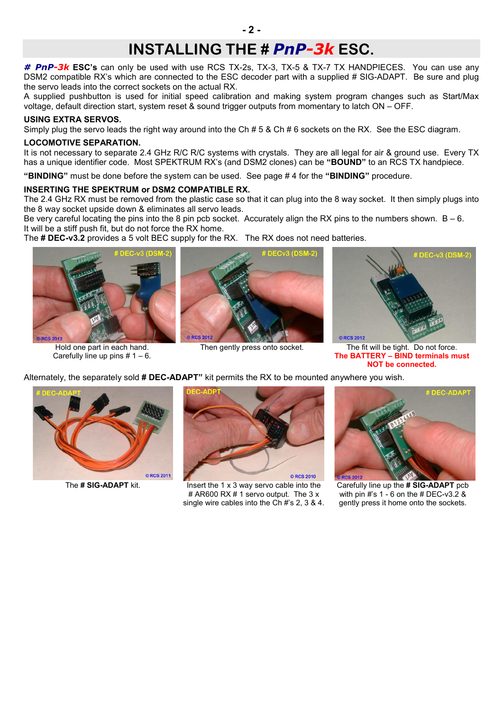# INSTALLING THE # *PnP-3k* ESC.

*# PnP-3k* ESC's can only be used with use RCS TX-2s, TX-3, TX-5 & TX-7 TX HANDPIECES. You can use any DSM2 compatible RX's which are connected to the ESC decoder part with a supplied # SIG-ADAPT. Be sure and plug the servo leads into the correct sockets on the actual RX.

A supplied pushbutton is used for initial speed calibration and making system program changes such as Start/Max voltage, default direction start, system reset & sound trigger outputs from momentary to latch ON – OFF.

#### USING EXTRA SERVOS.

Simply plug the servo leads the right way around into the Ch # 5 & Ch # 6 sockets on the RX. See the ESC diagram.

#### LOCOMOTIVE SEPARATION.

It is not necessary to separate 2.4 GHz R/C R/C systems with crystals. They are all legal for air & ground use. Every TX has a unique identifier code. Most SPEKTRUM RX's (and DSM2 clones) can be "BOUND" to an RCS TX handpiece.

"BINDING" must be done before the system can be used. See page #4 for the "BINDING" procedure.

#### INSERTING THE SPEKTRUM or DSM2 COMPATIBLE RX.

The 2.4 GHz RX must be removed from the plastic case so that it can plug into the 8 way socket. It then simply plugs into the 8 way socket upside down & eliminates all servo leads.

Be very careful locating the pins into the 8 pin pcb socket. Accurately align the RX pins to the numbers shown.  $B - 6$ . It will be a stiff push fit, but do not force the RX home.

The # DEC-v3.2 provides a 5 volt BEC supply for the RX. The RX does not need batteries.



Hold one part in each hand. Carefully line up pins  $# 1 - 6$ .



Alternately, the separately sold # DEC-ADAPT" kit permits the RX to be mounted anywhere you wish.



Then gently press onto socket. The fit will be tight. Do not force. The BATTERY – BIND terminals must NOT be connected.

© RCS 2011



The  $\#$  SIG-ADAPT kit. Insert the 1 x 3 way servo cable into the # AR600 RX # 1 servo output. The 3 x single wire cables into the Ch #'s 2, 3 & 4.



Carefully line up the # SIG-ADAPT pcb with pin #'s 1 - 6 on the # DEC-v3.2 & gently press it home onto the sockets.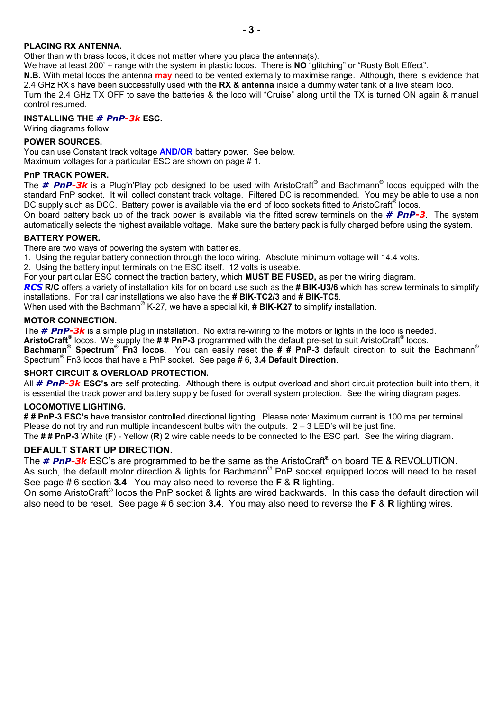#### PLACING RX ANTENNA.

Other than with brass locos, it does not matter where you place the antenna(s).

We have at least 200' + range with the system in plastic locos. There is NO "glitching" or "Rusty Bolt Effect".

N.B. With metal locos the antenna may need to be vented externally to maximise range. Although, there is evidence that 2.4 GHz RX's have been successfully used with the RX & antenna inside a dummy water tank of a live steam loco. Turn the 2.4 GHz TX OFF to save the batteries & the loco will "Cruise" along until the TX is turned ON again & manual

#### INSTALLING THE *# PnP-3k* ESC.

Wiring diagrams follow.

#### POWER SOURCES.

control resumed.

You can use Constant track voltage **AND/OR** battery power. See below.

Maximum voltages for a particular ESC are shown on page # 1.

#### PnP TRACK POWER.

The *# PnP-3k* is a Plug'n'Play pcb designed to be used with AristoCraft® and Bachmann® locos equipped with the standard PnP socket. It will collect constant track voltage. Filtered DC is recommended. You may be able to use a non DC supply such as DCC. Battery power is available via the end of loco sockets fitted to AristoCraft<sup>®</sup> locos.

On board battery back up of the track power is available via the fitted screw terminals on the *# PnP-3*. The system automatically selects the highest available voltage. Make sure the battery pack is fully charged before using the system.

#### BATTERY POWER.

There are two ways of powering the system with batteries.

1. Using the regular battery connection through the loco wiring. Absolute minimum voltage will 14.4 volts.

2. Using the battery input terminals on the ESC itself. 12 volts is useable.

For your particular ESC connect the traction battery, which **MUST BE FUSED**, as per the wiring diagram.

*RCS* R/C offers a variety of installation kits for on board use such as the # BIK-U3/6 which has screw terminals to simplify installations. For trail car installations we also have the # BIK-TC2/3 and # BIK-TC5.

When used with the Bachmann<sup>®</sup> K-27, we have a special kit,  $\#$  BIK-K27 to simplify installation.

#### MOTOR CONNECTION.

The *# PnP-3k* is a simple plug in installation. No extra re-wiring to the motors or lights in the loco is needed.

AristoCraft<sup>®</sup> locos. We supply the  $\#$  # PnP-3 programmed with the default pre-set to suit AristoCraft<sup>®</sup> locos.

Bachmann® Spectrum® Fn3 locos. You can easily reset the ## PnP-3 default direction to suit the Bachmann® Spectrum® Fn3 locos that have a PnP socket. See page # 6, 3.4 Default Direction.

#### SHORT CIRCUIT & OVERLOAD PROTECTION.

All *# PnP-3k* ESC's are self protecting. Although there is output overload and short circuit protection built into them, it is essential the track power and battery supply be fused for overall system protection. See the wiring diagram pages.

#### LOCOMOTIVE LIGHTING.

## PnP-3 ESC's have transistor controlled directional lighting. Please note: Maximum current is 100 ma per terminal. Please do not try and run multiple incandescent bulbs with the outputs.  $2 - 3$  LED's will be just fine. The ## PnP-3 White (F) - Yellow (R) 2 wire cable needs to be connected to the ESC part. See the wiring diagram.

### DEFAULT START UP DIRECTION.

The *# PnP-3k* ESC's are programmed to be the same as the AristoCraft® on board TE & REVOLUTION. As such, the default motor direction & lights for Bachmann<sup>®</sup> PnP socket equipped locos will need to be reset. See page # 6 section 3.4. You may also need to reverse the F & R lighting.

On some AristoCraft® locos the PnP socket & lights are wired backwards. In this case the default direction will also need to be reset. See page #6 section 3.4. You may also need to reverse the F & R lighting wires.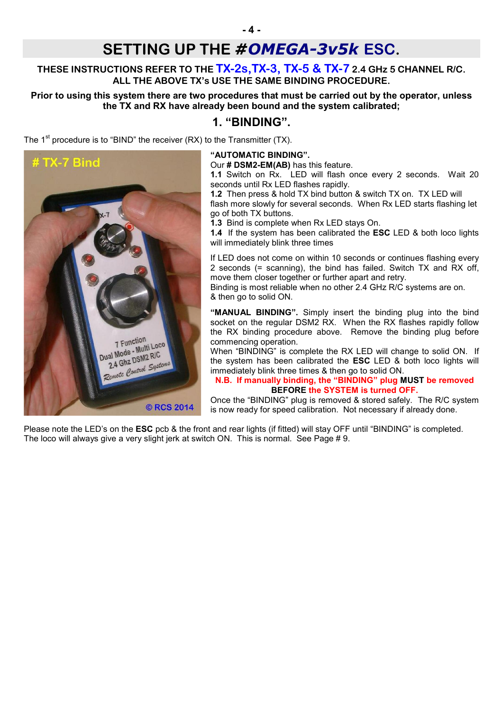# SETTING UP THE *#OMEGA-3v5k* ESC.

## THESE INSTRUCTIONS REFER TO THE **TX-2s, TX-3, TX-5 & TX-7** 2.4 GHz 5 CHANNEL R/C. ALL THE ABOVE TX's USE THE SAME BINDING PROCEDURE.

### Prior to using this system there are two procedures that must be carried out by the operator, unless the TX and RX have already been bound and the system calibrated;

# 1. "BINDING".

The  $1<sup>st</sup>$  procedure is to "BIND" the receiver (RX) to the Transmitter (TX).



#### "AUTOMATIC BINDING".

Our # DSM2-EM(AB) has this feature.

1.1 Switch on Rx. LED will flash once every 2 seconds. Wait 20 seconds until Rx LED flashes rapidly.

1.2 Then press & hold TX bind button & switch TX on. TX LED will flash more slowly for several seconds. When Rx LED starts flashing let go of both TX buttons.

1.3 Bind is complete when Rx LED stays On.

1.4 If the system has been calibrated the **ESC** LED & both loco lights will immediately blink three times

If LED does not come on within 10 seconds or continues flashing every 2 seconds (= scanning), the bind has failed. Switch TX and RX off, move them closer together or further apart and retry.

Binding is most reliable when no other 2.4 GHz R/C systems are on. & then go to solid ON.

"MANUAL BINDING". Simply insert the binding plug into the bind socket on the regular DSM2 RX. When the RX flashes rapidly follow the RX binding procedure above. Remove the binding plug before commencing operation.

When "BINDING" is complete the RX LED will change to solid ON. If the system has been calibrated the ESC LED & both loco lights will immediately blink three times & then go to solid ON.

#### N.B. If manually binding, the "BINDING" plug MUST be removed BEFORE the SYSTEM is turned OFF.

Once the "BINDING" plug is removed & stored safely. The R/C system is now ready for speed calibration. Not necessary if already done.

Please note the LED's on the **ESC** pcb & the front and rear lights (if fitted) will stay OFF until "BINDING" is completed. The loco will always give a very slight jerk at switch ON. This is normal. See Page # 9.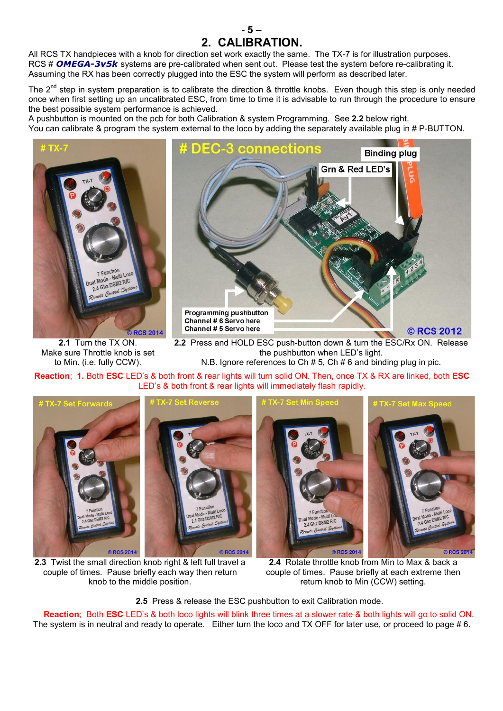All RCS TX handpieces with a knob for direction set work exactly the same. The TX-7 is for illustration purposes. RCS # *OMEGA-3v5k* systems are pre-calibrated when sent out. Please test the system before re-calibrating it. Assuming the RX has been correctly plugged into the ESC the system will perform as described later.

The  $2^{nd}$  step in system preparation is to calibrate the direction & throttle knobs. Even though this step is only needed once when first setting up an uncalibrated ESC, from time to time it is advisable to run through the procedure to ensure the best possible system performance is achieved.

- 5 – 2. CALIBRATION.

A pushbutton is mounted on the pcb for both Calibration & system Programming. See 2.2 below right. You can calibrate & program the system external to the loco by adding the separately available plug in # P-BUTTON.



2.1 Turn the TX ON. Make sure Throttle knob is set to Min. (i.e. fully CCW).



2.2 Press and HOLD ESC push-button down & turn the ESC/Rx ON. Release the pushbutton when LED's light. N.B. Ignore references to Ch # 5, Ch # 6 and binding plug in pic.

Reaction; 1. Both ESC LED's & both front & rear lights will turn solid ON. Then, once TX & RX are linked, both ESC LED's & both front & rear lights will immediately flash rapidly.



2.3 Twist the small direction knob right & left full travel a couple of times. Pause briefly each way then return knob to the middle position.

2.4 Rotate throttle knob from Min to Max & back a couple of times. Pause briefly at each extreme then return knob to Min (CCW) setting.

2.5 Press & release the ESC pushbutton to exit Calibration mode.

Reaction; Both ESC LED's & both loco lights will blink three times at a slower rate & both lights will go to solid ON. The system is in neutral and ready to operate. Either turn the loco and TX OFF for later use, or proceed to page # 6.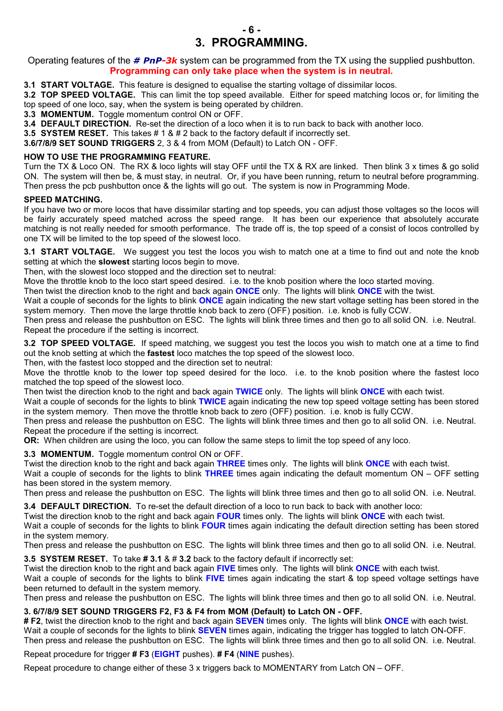

Operating features of the *# PnP-3k* system can be programmed from the TX using the supplied pushbutton. Programming can only take place when the system is in neutral.

3.1 START VOLTAGE. This feature is designed to equalise the starting voltage of dissimilar locos.

3.2 TOP SPEED VOLTAGE. This can limit the top speed available. Either for speed matching locos or, for limiting the top speed of one loco, say, when the system is being operated by children.

3.3 MOMENTUM. Toggle momentum control ON or OFF.

3.4 DEFAULT DIRECTION. Re-set the direction of a loco when it is to run back to back with another loco.

3.5 SYSTEM RESET. This takes # 1 & # 2 back to the factory default if incorrectly set.

3.6/7/8/9 SET SOUND TRIGGERS 2, 3 & 4 from MOM (Default) to Latch ON - OFF.

#### HOW TO USE THE PROGRAMMING FEATURE.

Turn the TX & Loco ON. The RX & loco lights will stay OFF until the TX & RX are linked. Then blink 3 x times & go solid ON. The system will then be, & must stay, in neutral. Or, if you have been running, return to neutral before programming. Then press the pcb pushbutton once & the lights will go out. The system is now in Programming Mode.

#### SPEED MATCHING.

If you have two or more locos that have dissimilar starting and top speeds, you can adjust those voltages so the locos will be fairly accurately speed matched across the speed range. It has been our experience that absolutely accurate matching is not really needed for smooth performance. The trade off is, the top speed of a consist of locos controlled by one TX will be limited to the top speed of the slowest loco.

3.1 START VOLTAGE. We suggest you test the locos you wish to match one at a time to find out and note the knob setting at which the **slowest** starting locos begin to move.

Then, with the slowest loco stopped and the direction set to neutral:

Move the throttle knob to the loco start speed desired. i.e. to the knob position where the loco started moving.

Then twist the direction knob to the right and back again ONCE only. The lights will blink ONCE with the twist.

Wait a couple of seconds for the lights to blink **ONCE** again indicating the new start voltage setting has been stored in the system memory. Then move the large throttle knob back to zero (OFF) position. i.e. knob is fully CCW.

Then press and release the pushbutton on ESC. The lights will blink three times and then go to all solid ON. i.e. Neutral. Repeat the procedure if the setting is incorrect.

3.2 TOP SPEED VOLTAGE. If speed matching, we suggest you test the locos you wish to match one at a time to find out the knob setting at which the fastest loco matches the top speed of the slowest loco.

Then, with the fastest loco stopped and the direction set to neutral:

Move the throttle knob to the lower top speed desired for the loco. i.e. to the knob position where the fastest loco matched the top speed of the slowest loco.

Then twist the direction knob to the right and back again TWICE only. The lights will blink ONCE with each twist.

Wait a couple of seconds for the lights to blink TWICE again indicating the new top speed voltage setting has been stored in the system memory. Then move the throttle knob back to zero (OFF) position. i.e. knob is fully CCW.

Then press and release the pushbutton on ESC. The lights will blink three times and then go to all solid ON. i.e. Neutral. Repeat the procedure if the setting is incorrect.

OR: When children are using the loco, you can follow the same steps to limit the top speed of any loco.

3.3 MOMENTUM. Toggle momentum control ON or OFF.

Twist the direction knob to the right and back again THREE times only. The lights will blink ONCE with each twist.

Wait a couple of seconds for the lights to blink **THREE** times again indicating the default momentum  $ON - OFF$  setting has been stored in the system memory.

Then press and release the pushbutton on ESC. The lights will blink three times and then go to all solid ON. i.e. Neutral.

3.4 DEFAULT DIRECTION. To re-set the default direction of a loco to run back to back with another loco:

Twist the direction knob to the right and back again FOUR times only. The lights will blink ONCE with each twist.

Wait a couple of seconds for the lights to blink FOUR times again indicating the default direction setting has been stored in the system memory.

Then press and release the pushbutton on ESC. The lights will blink three times and then go to all solid ON. i.e. Neutral.

3.5 SYSTEM RESET. To take # 3.1 & # 3.2 back to the factory default if incorrectly set:

Twist the direction knob to the right and back again FIVE times only. The lights will blink ONCE with each twist.

Wait a couple of seconds for the lights to blink FIVE times again indicating the start & top speed voltage settings have been returned to default in the system memory.

Then press and release the pushbutton on ESC. The lights will blink three times and then go to all solid ON. i.e. Neutral.

#### 3. 6/7/8/9 SET SOUND TRIGGERS F2, F3 & F4 from MOM (Default) to Latch ON - OFF.

# F2, twist the direction knob to the right and back again SEVEN times only. The lights will blink ONCE with each twist. Wait a couple of seconds for the lights to blink **SEVEN** times again, indicating the trigger has toggled to latch ON-OFF. Then press and release the pushbutton on ESC. The lights will blink three times and then go to all solid ON. i.e. Neutral.

Repeat procedure for trigger # F3 (EIGHT pushes). # F4 (NINE pushes).

Repeat procedure to change either of these 3 x triggers back to MOMENTARY from Latch ON – OFF.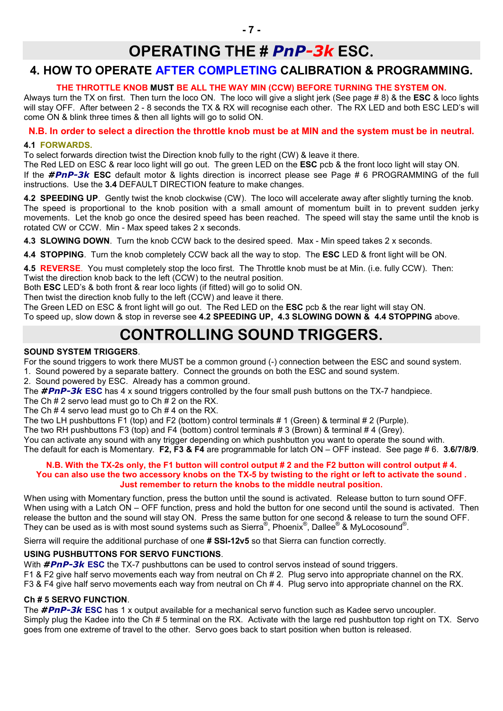# OPERATING THE # *PnP-3k* ESC.

# 4. HOW TO OPERATE AFTER COMPLETING CALIBRATION & PROGRAMMING.

### THE THROTTLE KNOB MUST BE ALL THE WAY MIN (CCW) BEFORE TURNING THE SYSTEM ON.

Always turn the TX on first. Then turn the loco ON. The loco will give a slight jerk (See page #8) & the **ESC** & loco lights will stay OFF. After between 2 - 8 seconds the TX & RX will recognise each other. The RX LED and both ESC LED's will come ON & blink three times & then all lights will go to solid ON.

## N.B. In order to select a direction the throttle knob must be at MIN and the system must be in neutral.

#### 4.1 FORWARDS.

To select forwards direction twist the Direction knob fully to the right (CW) & leave it there.

The Red LED on ESC & rear loco light will go out. The green LED on the ESC pcb & the front loco light will stay ON. If the *#PnP-3k* ESC default motor & lights direction is incorrect please see Page # 6 PROGRAMMING of the full instructions. Use the 3.4 DEFAULT DIRECTION feature to make changes.

4.2 SPEEDING UP. Gently twist the knob clockwise (CW). The loco will accelerate away after slightly turning the knob. The speed is proportional to the knob position with a small amount of momentum built in to prevent sudden jerky movements. Let the knob go once the desired speed has been reached. The speed will stay the same until the knob is rotated CW or CCW. Min - Max speed takes 2 x seconds.

4.3 SLOWING DOWN. Turn the knob CCW back to the desired speed. Max - Min speed takes 2 x seconds.

4.4 STOPPING. Turn the knob completely CCW back all the way to stop. The ESC LED & front light will be ON.

4.5 REVERSE. You must completely stop the loco first. The Throttle knob must be at Min. (i.e. fully CCW). Then:

Twist the direction knob back to the left (CCW) to the neutral position.

Both ESC LED's & both front & rear loco lights (if fitted) will go to solid ON.

Then twist the direction knob fully to the left (CCW) and leave it there.

The Green LED on ESC & front light will go out. The Red LED on the ESC pcb & the rear light will stay ON.

To speed up, slow down & stop in reverse see 4.2 SPEEDING UP, 4.3 SLOWING DOWN & 4.4 STOPPING above.

# CONTROLLING SOUND TRIGGERS.

#### SOUND SYSTEM TRIGGERS.

For the sound triggers to work there MUST be a common ground (-) connection between the ESC and sound system.

1. Sound powered by a separate battery. Connect the grounds on both the ESC and sound system.

2. Sound powered by ESC. Already has a common ground.

The **#PnP-3k ESC** has 4 x sound triggers controlled by the four small push buttons on the TX-7 handpiece.

The Ch # 2 servo lead must go to Ch # 2 on the RX.

The Ch  $# 4$  servo lead must go to Ch  $# 4$  on the RX.

The two LH pushbuttons F1 (top) and F2 (bottom) control terminals # 1 (Green) & terminal # 2 (Purple).

The two RH pushbuttons F3 (top) and F4 (bottom) control terminals # 3 (Brown) & terminal # 4 (Grey).

You can activate any sound with any trigger depending on which pushbutton you want to operate the sound with.

The default for each is Momentary. F2, F3 & F4 are programmable for latch ON – OFF instead. See page # 6. 3.6/7/8/9.

#### N.B. With the TX-2s only, the F1 button will control output # 2 and the F2 button will control output # 4. You can also use the two accessory knobs on the TX-5 by twisting to the right or left to activate the sound. Just remember to return the knobs to the middle neutral position.

When using with Momentary function, press the button until the sound is activated. Release button to turn sound OFF. When using with a Latch ON – OFF function, press and hold the button for one second until the sound is activated. Then release the button and the sound will stay ON. Press the same button for one second & release to turn the sound OFF. They can be used as is with most sound systems such as Sierra®, Phoenix®, Dallee® & MyLocosound®.

Sierra will require the additional purchase of one # SSI-12v5 so that Sierra can function correctly.

### USING PUSHBUTTONS FOR SERVO FUNCTIONS.

With **#PnP-3k ESC** the TX-7 pushbuttons can be used to control servos instead of sound triggers. F1 & F2 give half servo movements each way from neutral on Ch # 2. Plug servo into appropriate channel on the RX. F3 & F4 give half servo movements each way from neutral on Ch # 4. Plug servo into appropriate channel on the RX.

#### Ch # 5 SERVO FUNCTION.

The *#PnP-3k* ESC has 1 x output available for a mechanical servo function such as Kadee servo uncoupler. Simply plug the Kadee into the Ch # 5 terminal on the RX. Activate with the large red pushbutton top right on TX. Servo goes from one extreme of travel to the other. Servo goes back to start position when button is released.